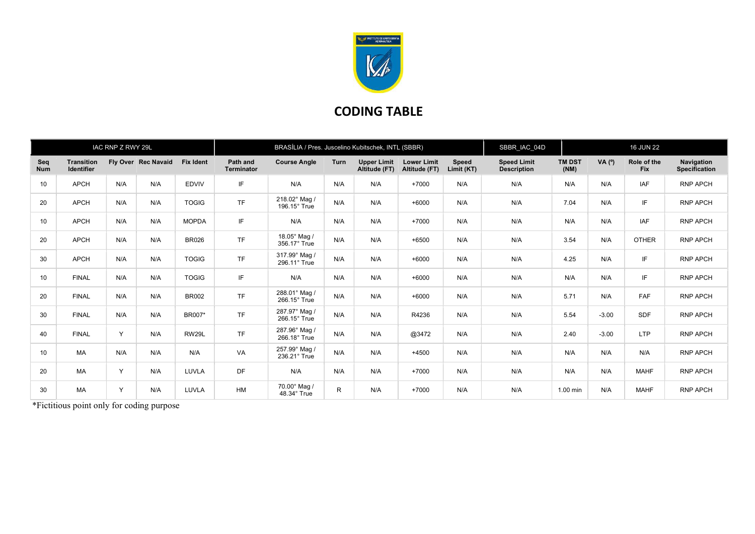

## CODING TABLE

| IAC RNP Z RWY 29L |                                        |              |                     | BRASÍLIA / Pres. Juscelino Kubitschek, INTL (SBBR) |                               |                                      |              |                                     |                                     | SBBR_IAC_04D               |                                          | <b>16 JUN 22</b>      |          |                           |                                    |
|-------------------|----------------------------------------|--------------|---------------------|----------------------------------------------------|-------------------------------|--------------------------------------|--------------|-------------------------------------|-------------------------------------|----------------------------|------------------------------------------|-----------------------|----------|---------------------------|------------------------------------|
| Seq<br><b>Num</b> | <b>Transition</b><br><b>Identifier</b> |              | Fly Over Rec Navaid | <b>Fix Ident</b>                                   | Path and<br><b>Terminator</b> | <b>Course Angle</b>                  | Turn         | <b>Upper Limit</b><br>Altitude (FT) | <b>Lower Limit</b><br>Altitude (FT) | <b>Speed</b><br>Limit (KT) | <b>Speed Limit</b><br><b>Description</b> | <b>TM DST</b><br>(NM) | VA $(°)$ | Role of the<br><b>Fix</b> | Navigation<br><b>Specification</b> |
| 10                | <b>APCH</b>                            | N/A          | N/A                 | <b>EDVIV</b>                                       | IF                            | N/A                                  | N/A          | N/A                                 | $+7000$                             | N/A                        | N/A                                      | N/A                   | N/A      | <b>IAF</b>                | <b>RNP APCH</b>                    |
| 20                | <b>APCH</b>                            | N/A          | N/A                 | <b>TOGIG</b>                                       | <b>TF</b>                     | 218.02° Mag /<br>$196.15^\circ$ True | N/A          | N/A                                 | $+6000$                             | N/A                        | N/A                                      | 7.04                  | N/A      | IF.                       | <b>RNP APCH</b>                    |
| 10                | <b>APCH</b>                            | N/A          | N/A                 | <b>MOPDA</b>                                       | IF                            | N/A                                  | N/A          | N/A                                 | $+7000$                             | N/A                        | N/A                                      | N/A                   | N/A      | <b>IAF</b>                | <b>RNP APCH</b>                    |
| 20                | <b>APCH</b>                            | N/A          | N/A                 | <b>BR026</b>                                       | <b>TF</b>                     | 18.05° Mag /<br>356.17° True         | N/A          | N/A                                 | $+6500$                             | N/A                        | N/A                                      | 3.54                  | N/A      | <b>OTHER</b>              | <b>RNP APCH</b>                    |
| 30                | <b>APCH</b>                            | N/A          | N/A                 | <b>TOGIG</b>                                       | <b>TF</b>                     | 317.99° Mag /<br>296.11° True        | N/A          | N/A                                 | $+6000$                             | N/A                        | N/A                                      | 4.25                  | N/A      | IF.                       | <b>RNP APCH</b>                    |
| 10                | <b>FINAL</b>                           | N/A          | N/A                 | <b>TOGIG</b>                                       | IF                            | N/A                                  | N/A          | N/A                                 | $+6000$                             | N/A                        | N/A                                      | N/A                   | N/A      | IF.                       | <b>RNP APCH</b>                    |
| 20                | <b>FINAL</b>                           | N/A          | N/A                 | <b>BR002</b>                                       | <b>TF</b>                     | 288.01° Mag /<br>266.15° True        | N/A          | N/A                                 | $+6000$                             | N/A                        | N/A                                      | 5.71                  | N/A      | FAF                       | <b>RNP APCH</b>                    |
| 30                | <b>FINAL</b>                           | N/A          | N/A                 | BR007*                                             | <b>TF</b>                     | 287.97° Mag /<br>266.15° True        | N/A          | N/A                                 | R4236                               | N/A                        | N/A                                      | 5.54                  | $-3.00$  | <b>SDF</b>                | <b>RNP APCH</b>                    |
| 40                | <b>FINAL</b>                           | $\checkmark$ | N/A                 | RW29L                                              | <b>TF</b>                     | 287.96° Mag /<br>266.18° True        | N/A          | N/A                                 | @3472                               | N/A                        | N/A                                      | 2.40                  | $-3.00$  | <b>LTP</b>                | <b>RNP APCH</b>                    |
| 10                | MA                                     | N/A          | N/A                 | N/A                                                | VA                            | 257.99° Mag /<br>236.21° True        | N/A          | N/A                                 | $+4500$                             | N/A                        | N/A                                      | N/A                   | N/A      | N/A                       | <b>RNP APCH</b>                    |
| 20                | <b>MA</b>                              | $\checkmark$ | N/A                 | LUVLA                                              | DF                            | N/A                                  | N/A          | N/A                                 | $+7000$                             | N/A                        | N/A                                      | N/A                   | N/A      | <b>MAHF</b>               | <b>RNP APCH</b>                    |
| 30                | MA                                     | Y            | N/A                 | LUVLA                                              | <b>HM</b>                     | 70.00° Mag /<br>48.34° True          | $\mathsf{R}$ | N/A                                 | $+7000$                             | N/A                        | N/A                                      | 1.00 min              | N/A      | <b>MAHF</b>               | <b>RNP APCH</b>                    |

\*Fictitious point only for coding purpose